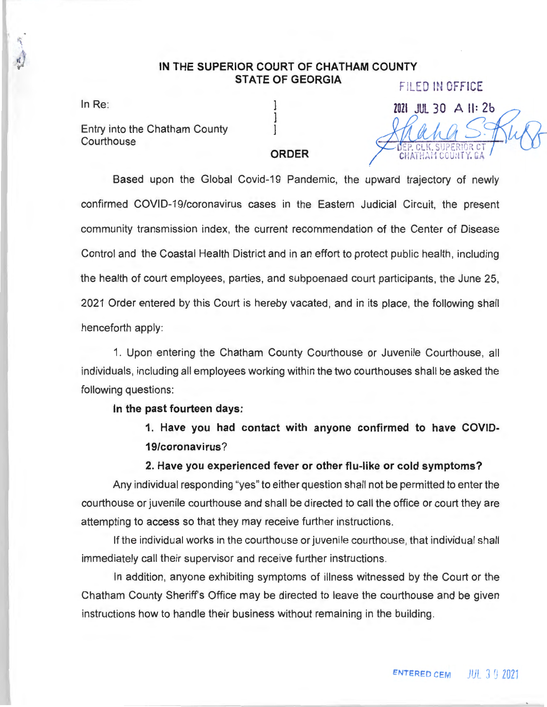# IN THE **SUPERIOR COURT** OF **CHATHAM COUNTY**  STATE OF **GEORGIA** FILED IN OFFICE

 $\boldsymbol{d}$ 

Entry into the Chatham County

# In Re: 2021 JUL 30 A II: 26 Entry into the Chatham County<br>Courthouse *9 <b>COULD* S CHAT Y. GA

## **ORDER**

Based upon the Global Covid-19 Pandemic, the upward trajectory of newly confirmed COVID-19/coronavirus cases in the Eastern Judicial Circuit, the present community transmission index, the current recommendation of the Center of Disease Control and the Coastal Health District and in an effort to protect public health , including the health of court employees, parties, and subpoenaed court participants, the June 25, 2021 Order entered by this Court is hereby vacated, and in its place, the following shall henceforth apply:

1. Upon entering the Chatham County Courthouse or Juvenile Courthouse, all individuals, including all employees working within the two courthouses shall be asked the following questions:

#### **In the past fourteen days:**

**1. Have you had contact with anyone confirmed to have COVID-19/coronavirus?** 

### **2. Have you experienced fever or other flu-like or cold symptoms?**

Any individual responding "yes" to either question shall not be permitted to enter the courthouse or juvenile courthouse and shall be directed to call the office or court they are attempting to access so that they may receive further instructions.

If the individual works in the courthouse or juvenile courthouse , that individual shall immediately call their supervisor and receive further instructions.

In addition, anyone exhibiting symptoms of illness witnessed by the Court or the Chatham County Sheriff's Office may be directed to leave the courthouse and be given instructions how to handle their business without remaining in the building.